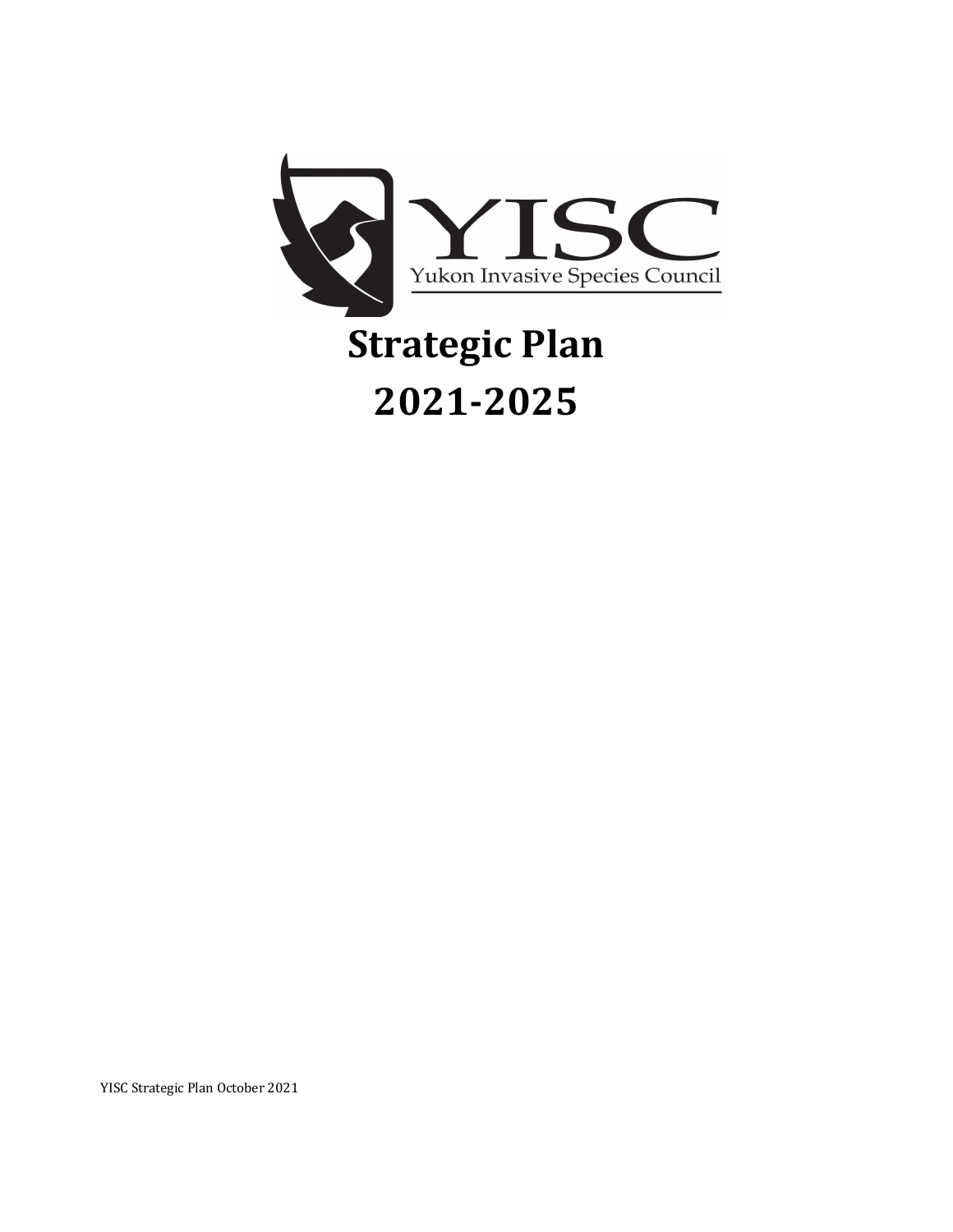

# **Strategic Plan 2021-2025**

YISC Strategic Plan October 2021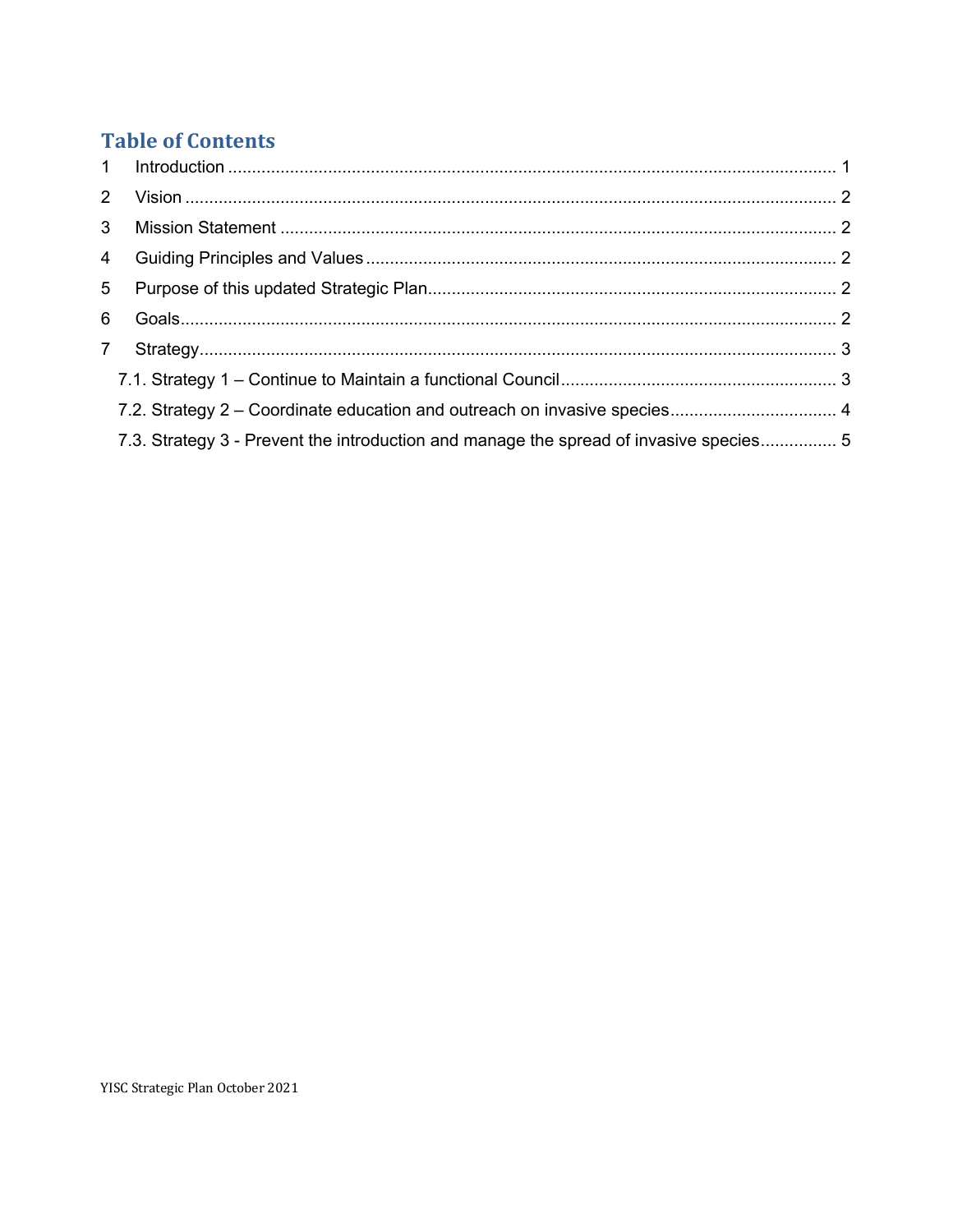# **Table of Contents**

| 3 <sup>7</sup> |                                                                                        |  |
|----------------|----------------------------------------------------------------------------------------|--|
|                |                                                                                        |  |
| 5 <sub>1</sub> |                                                                                        |  |
| 6              |                                                                                        |  |
| $7^{\circ}$    |                                                                                        |  |
|                |                                                                                        |  |
|                |                                                                                        |  |
|                | 7.3. Strategy 3 - Prevent the introduction and manage the spread of invasive species 5 |  |
|                |                                                                                        |  |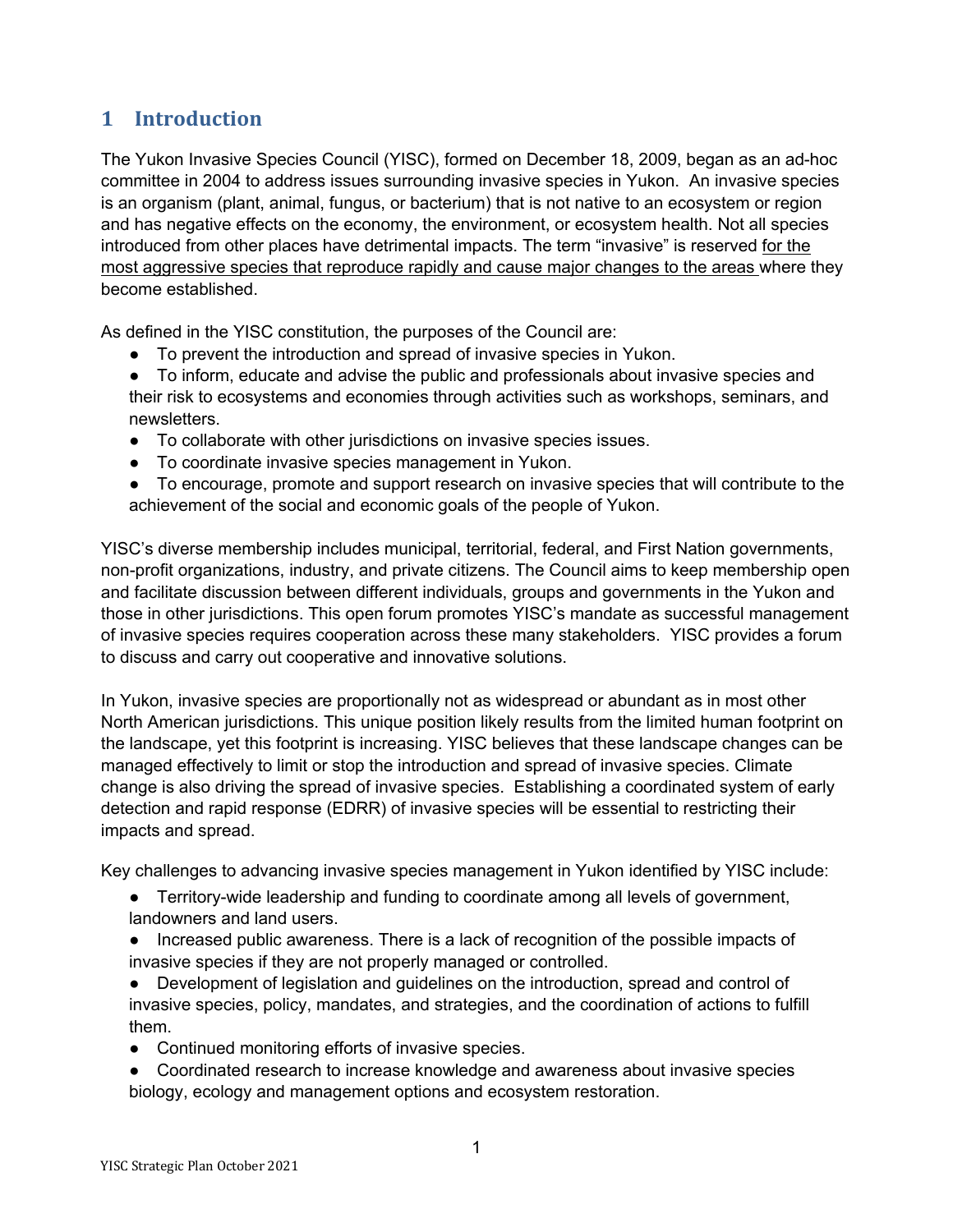## **1 Introduction**

The Yukon Invasive Species Council (YISC), formed on December 18, 2009, began as an ad-hoc committee in 2004 to address issues surrounding invasive species in Yukon. An invasive species is an organism (plant, animal, fungus, or bacterium) that is not native to an ecosystem or region and has negative effects on the economy, the environment, or ecosystem health. Not all species introduced from other places have detrimental impacts. The term "invasive" is reserved for the most aggressive species that reproduce rapidly and cause major changes to the areas where they become established.

As defined in the YISC constitution, the purposes of the Council are:

- To prevent the introduction and spread of invasive species in Yukon.
- To inform, educate and advise the public and professionals about invasive species and their risk to ecosystems and economies through activities such as workshops, seminars, and newsletters.
- To collaborate with other jurisdictions on invasive species issues.
- To coordinate invasive species management in Yukon.
- To encourage, promote and support research on invasive species that will contribute to the achievement of the social and economic goals of the people of Yukon.

YISC's diverse membership includes municipal, territorial, federal, and First Nation governments, non-profit organizations, industry, and private citizens. The Council aims to keep membership open and facilitate discussion between different individuals, groups and governments in the Yukon and those in other jurisdictions. This open forum promotes YISC's mandate as successful management of invasive species requires cooperation across these many stakeholders. YISC provides a forum to discuss and carry out cooperative and innovative solutions.

In Yukon, invasive species are proportionally not as widespread or abundant as in most other North American jurisdictions. This unique position likely results from the limited human footprint on the landscape, yet this footprint is increasing. YISC believes that these landscape changes can be managed effectively to limit or stop the introduction and spread of invasive species. Climate change is also driving the spread of invasive species. Establishing a coordinated system of early detection and rapid response (EDRR) of invasive species will be essential to restricting their impacts and spread.

Key challenges to advancing invasive species management in Yukon identified by YISC include:

- Territory-wide leadership and funding to coordinate among all levels of government, landowners and land users.
- Increased public awareness. There is a lack of recognition of the possible impacts of invasive species if they are not properly managed or controlled.
- Development of legislation and guidelines on the introduction, spread and control of invasive species, policy, mandates, and strategies, and the coordination of actions to fulfill them.
- Continued monitoring efforts of invasive species.
- Coordinated research to increase knowledge and awareness about invasive species biology, ecology and management options and ecosystem restoration.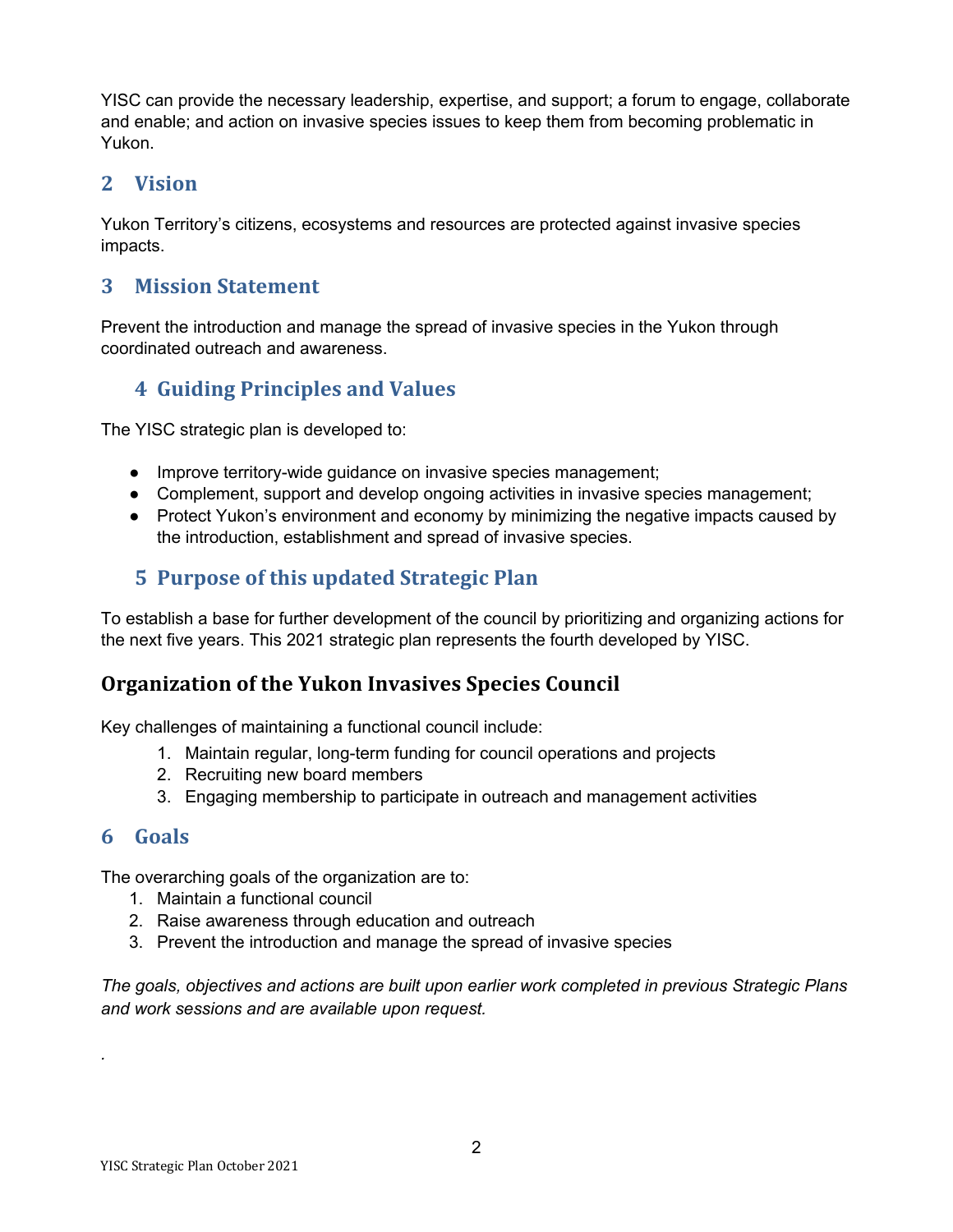YISC can provide the necessary leadership, expertise, and support; a forum to engage, collaborate and enable; and action on invasive species issues to keep them from becoming problematic in Yukon.

## **2 Vision**

Yukon Territory's citizens, ecosystems and resources are protected against invasive species impacts.

## **3 Mission Statement**

Prevent the introduction and manage the spread of invasive species in the Yukon through coordinated outreach and awareness.

## **4 Guiding Principles and Values**

The YISC strategic plan is developed to:

- Improve territory-wide quidance on invasive species management:
- Complement, support and develop ongoing activities in invasive species management;
- Protect Yukon's environment and economy by minimizing the negative impacts caused by the introduction, establishment and spread of invasive species.

## **5 Purpose of this updated Strategic Plan**

To establish a base for further development of the council by prioritizing and organizing actions for the next five years. This 2021 strategic plan represents the fourth developed by YISC.

## **Organization of the Yukon Invasives Species Council**

Key challenges of maintaining a functional council include:

- 1. Maintain regular, long-term funding for council operations and projects
- 2. Recruiting new board members
- 3. Engaging membership to participate in outreach and management activities

#### **6 Goals**

*.* 

The overarching goals of the organization are to:

- 1. Maintain a functional council
- 2. Raise awareness through education and outreach
- 3. Prevent the introduction and manage the spread of invasive species

*The goals, objectives and actions are built upon earlier work completed in previous Strategic Plans and work sessions and are available upon request.*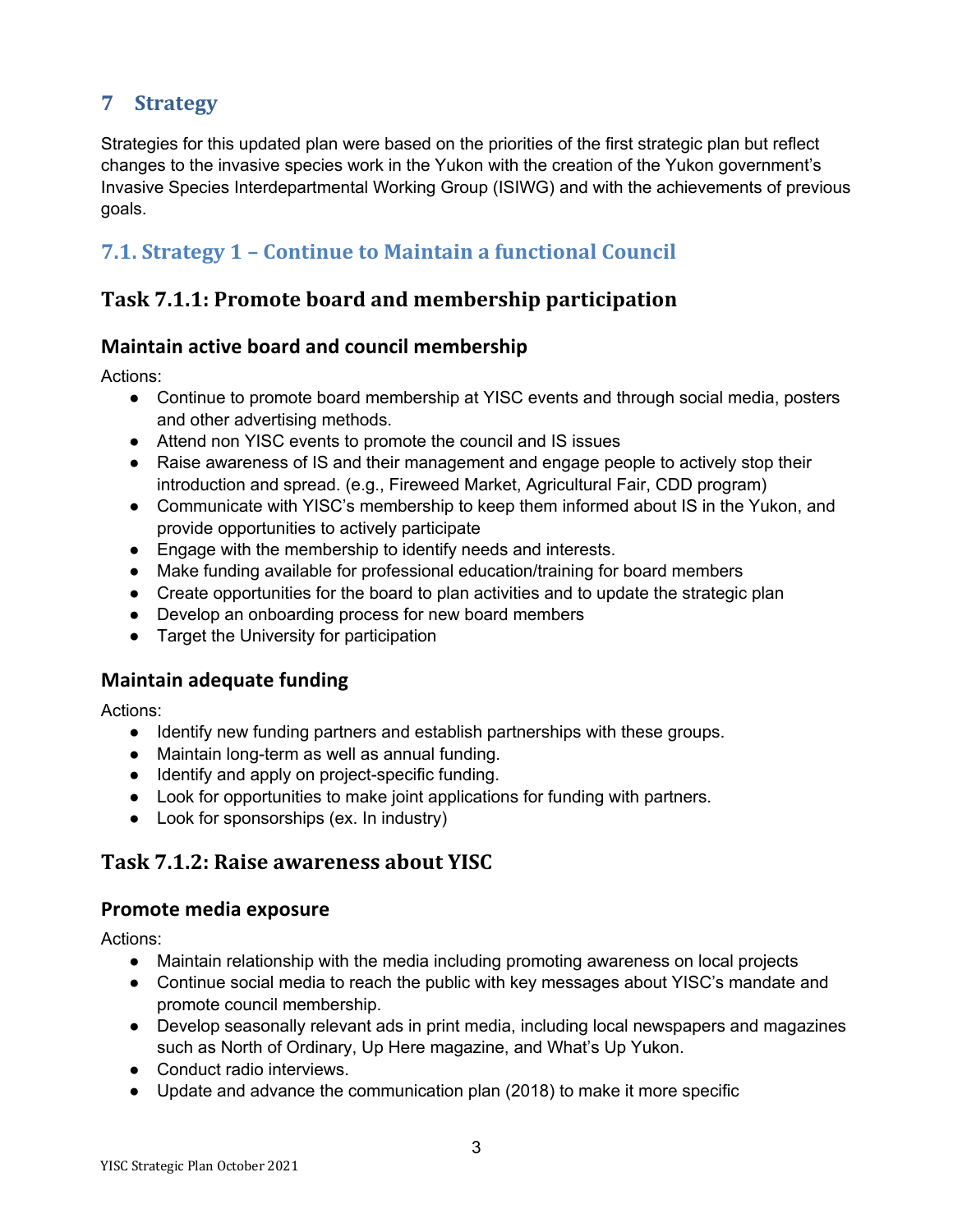## **7 Strategy**

Strategies for this updated plan were based on the priorities of the first strategic plan but reflect changes to the invasive species work in the Yukon with the creation of the Yukon government's Invasive Species Interdepartmental Working Group (ISIWG) and with the achievements of previous goals.

# **7.1. Strategy 1 - Continue to Maintain a functional Council**

## **Task 7.1.1: Promote board and membership participation**

## **Maintain active board and council membership**

Actions:

- Continue to promote board membership at YISC events and through social media, posters and other advertising methods.
- Attend non YISC events to promote the council and IS issues
- Raise awareness of IS and their management and engage people to actively stop their introduction and spread. (e.g., Fireweed Market, Agricultural Fair, CDD program)
- Communicate with YISC's membership to keep them informed about IS in the Yukon, and provide opportunities to actively participate
- Engage with the membership to identify needs and interests.
- Make funding available for professional education/training for board members
- Create opportunities for the board to plan activities and to update the strategic plan
- Develop an onboarding process for new board members
- Target the University for participation

#### **Maintain adequate funding**

Actions:

- Identify new funding partners and establish partnerships with these groups.
- Maintain long-term as well as annual funding.
- Identify and apply on project-specific funding.
- Look for opportunities to make joint applications for funding with partners.
- Look for sponsorships (ex. In industry)

## **Task 7.1.2: Raise awareness about YISC**

#### **Promote media exposure**

- Maintain relationship with the media including promoting awareness on local projects
- Continue social media to reach the public with key messages about YISC's mandate and promote council membership.
- Develop seasonally relevant ads in print media, including local newspapers and magazines such as North of Ordinary, Up Here magazine, and What's Up Yukon.
- Conduct radio interviews.
- Update and advance the communication plan (2018) to make it more specific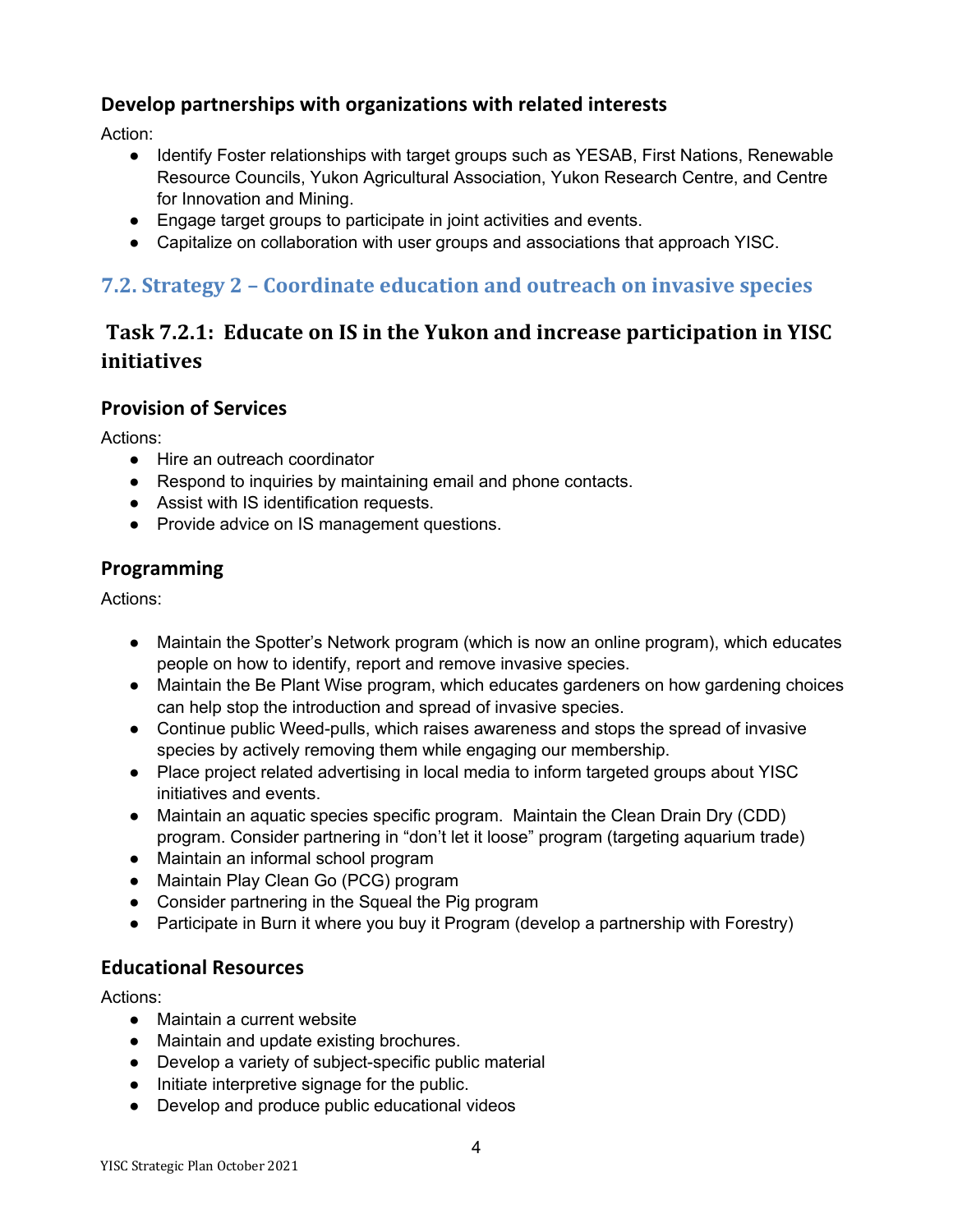## **Develop partnerships with organizations with related interests**

Action:

- Identify Foster relationships with target groups such as YESAB, First Nations, Renewable Resource Councils, Yukon Agricultural Association, Yukon Research Centre, and Centre for Innovation and Mining.
- Engage target groups to participate in joint activities and events.
- Capitalize on collaboration with user groups and associations that approach YISC.

## **7.2. Strategy 2 – Coordinate education and outreach on invasive species**

# **Task 7.2.1: Educate on IS in the Yukon and increase participation in YISC initiatives**

## **Provision of Services**

Actions:

- Hire an outreach coordinator
- Respond to inquiries by maintaining email and phone contacts.
- Assist with IS identification requests.
- Provide advice on IS management questions.

## **Programming**

Actions:

- Maintain the Spotter's Network program (which is now an online program), which educates people on how to identify, report and remove invasive species.
- Maintain the Be Plant Wise program, which educates gardeners on how gardening choices can help stop the introduction and spread of invasive species.
- Continue public Weed-pulls, which raises awareness and stops the spread of invasive species by actively removing them while engaging our membership.
- Place project related advertising in local media to inform targeted groups about YISC initiatives and events.
- Maintain an aquatic species specific program. Maintain the Clean Drain Dry (CDD) program. Consider partnering in "don't let it loose" program (targeting aquarium trade)
- Maintain an informal school program
- Maintain Play Clean Go (PCG) program
- Consider partnering in the Squeal the Pig program
- Participate in Burn it where you buy it Program (develop a partnership with Forestry)

## **Educational Resources**

- Maintain a current website
- Maintain and update existing brochures.
- Develop a variety of subject-specific public material
- Initiate interpretive signage for the public.
- Develop and produce public educational videos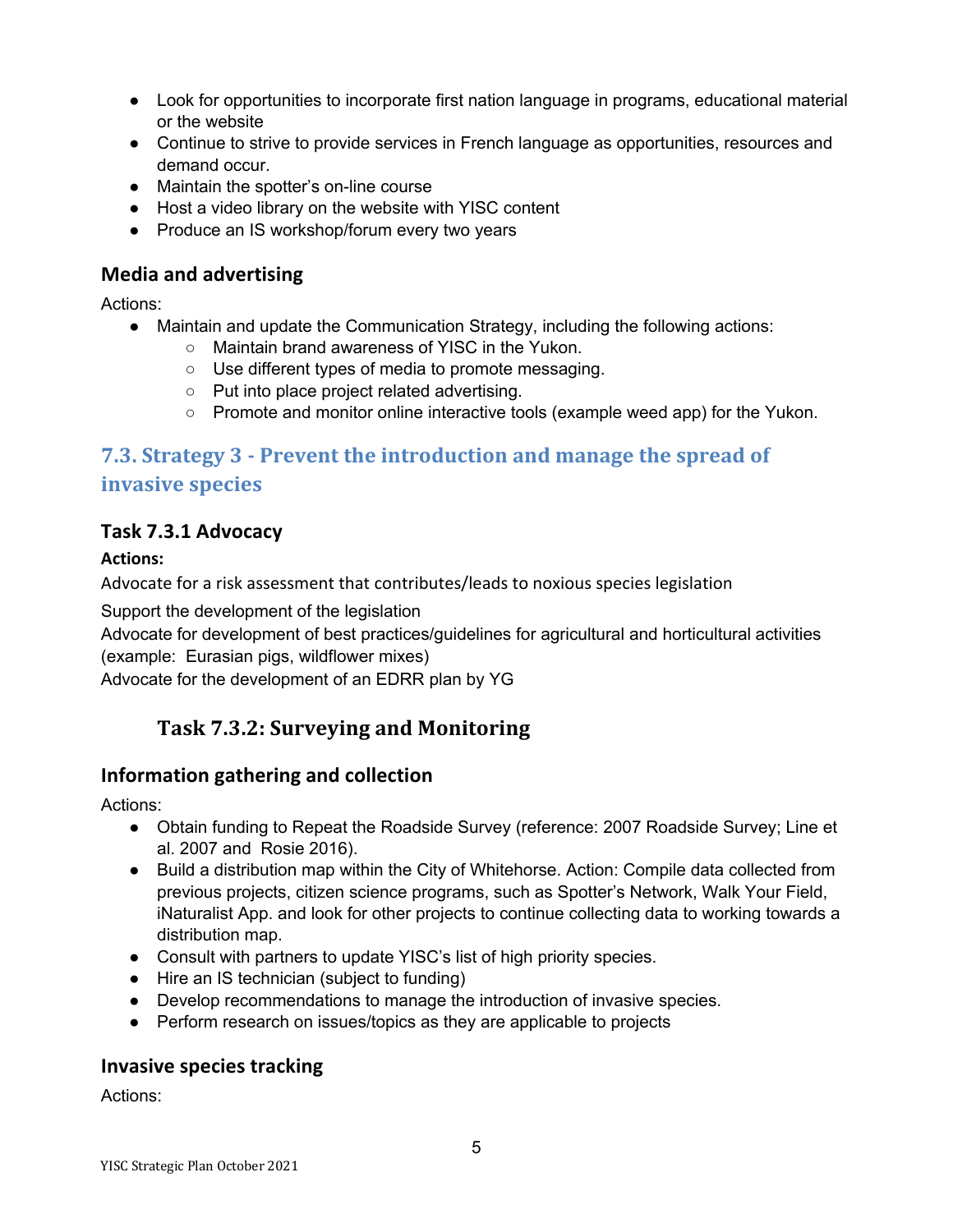- Look for opportunities to incorporate first nation language in programs, educational material or the website
- Continue to strive to provide services in French language as opportunities, resources and demand occur.
- Maintain the spotter's on-line course
- Host a video library on the website with YISC content
- Produce an IS workshop/forum every two years

## **Media and advertising**

Actions:

- Maintain and update the Communication Strategy, including the following actions:
	- Maintain brand awareness of YISC in the Yukon.
	- Use different types of media to promote messaging.
	- Put into place project related advertising.
	- Promote and monitor online interactive tools (example weed app) for the Yukon.

## **7.3. Strategy 3 - Prevent the introduction and manage the spread of invasive species**

## **Task 7.3.1 Advocacy**

#### **Actions:**

Advocate for a risk assessment that contributes/leads to noxious species legislation

Support the development of the legislation

Advocate for development of best practices/guidelines for agricultural and horticultural activities (example: Eurasian pigs, wildflower mixes)

Advocate for the development of an EDRR plan by YG

## **Task 7.3.2: Surveying and Monitoring**

## **Information gathering and collection**

Actions:

- Obtain funding to Repeat the Roadside Survey (reference: 2007 Roadside Survey; Line et al. 2007 and Rosie 2016).
- Build a distribution map within the City of Whitehorse. Action: Compile data collected from previous projects, citizen science programs, such as Spotter's Network, Walk Your Field, iNaturalist App. and look for other projects to continue collecting data to working towards a distribution map.
- Consult with partners to update YISC's list of high priority species.
- Hire an IS technician (subject to funding)
- Develop recommendations to manage the introduction of invasive species.
- Perform research on issues/topics as they are applicable to projects

## **Invasive species tracking**